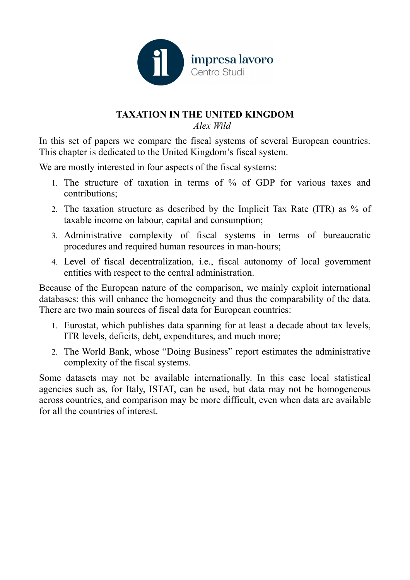

#### **TAXATION IN THE UNITED KINGDOM** *Alex Wild*

In this set of papers we compare the fiscal systems of several European countries. This chapter is dedicated to the United Kingdom's fiscal system.

We are mostly interested in four aspects of the fiscal systems:

- 1. The structure of taxation in terms of % of GDP for various taxes and contributions;
- 2. The taxation structure as described by the Implicit Tax Rate (ITR) as % of taxable income on labour, capital and consumption;
- 3. Administrative complexity of fiscal systems in terms of bureaucratic procedures and required human resources in man-hours;
- 4. Level of fiscal decentralization, i.e., fiscal autonomy of local government entities with respect to the central administration.

Because of the European nature of the comparison, we mainly exploit international databases: this will enhance the homogeneity and thus the comparability of the data. There are two main sources of fiscal data for European countries:

- 1. Eurostat, which publishes data spanning for at least a decade about tax levels, ITR levels, deficits, debt, expenditures, and much more;
- 2. The World Bank, whose "Doing Business" report estimates the administrative complexity of the fiscal systems.

Some datasets may not be available internationally. In this case local statistical agencies such as, for Italy, ISTAT, can be used, but data may not be homogeneous across countries, and comparison may be more difficult, even when data are available for all the countries of interest.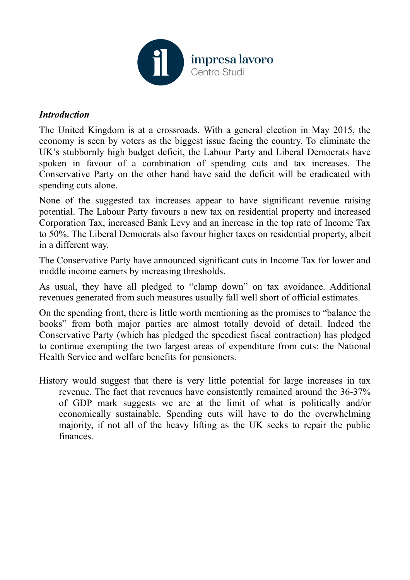

### *Introduction*

The United Kingdom is at a crossroads. With a general election in May 2015, the economy is seen by voters as the biggest issue facing the country. To eliminate the UK's stubbornly high budget deficit, the Labour Party and Liberal Democrats have spoken in favour of a combination of spending cuts and tax increases. The Conservative Party on the other hand have said the deficit will be eradicated with spending cuts alone.

None of the suggested tax increases appear to have significant revenue raising potential. The Labour Party favours a new tax on residential property and increased Corporation Tax, increased Bank Levy and an increase in the top rate of Income Tax to 50%. The Liberal Democrats also favour higher taxes on residential property, albeit in a different way.

The Conservative Party have announced significant cuts in Income Tax for lower and middle income earners by increasing thresholds.

As usual, they have all pledged to "clamp down" on tax avoidance. Additional revenues generated from such measures usually fall well short of official estimates.

On the spending front, there is little worth mentioning as the promises to "balance the books" from both major parties are almost totally devoid of detail. Indeed the Conservative Party (which has pledged the speediest fiscal contraction) has pledged to continue exempting the two largest areas of expenditure from cuts: the National Health Service and welfare benefits for pensioners.

History would suggest that there is very little potential for large increases in tax revenue. The fact that revenues have consistently remained around the 36-37% of GDP mark suggests we are at the limit of what is politically and/or economically sustainable. Spending cuts will have to do the overwhelming majority, if not all of the heavy lifting as the UK seeks to repair the public finances.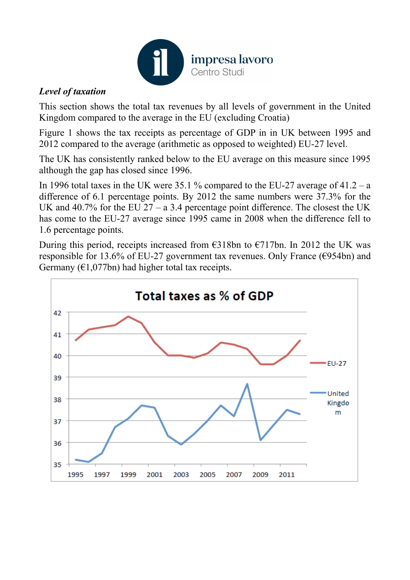

# *Level of taxation*

This section shows the total tax revenues by all levels of government in the United Kingdom compared to the average in the EU (excluding Croatia)

Figure 1 shows the tax receipts as percentage of GDP in in UK between 1995 and 2012 compared to the average (arithmetic as opposed to weighted) EU-27 level.

The UK has consistently ranked below to the EU average on this measure since 1995 although the gap has closed since 1996.

In 1996 total taxes in the UK were  $35.1\%$  compared to the EU-27 average of  $41.2 - a$ difference of 6.1 percentage points. By 2012 the same numbers were 37.3% for the UK and 40.7% for the EU  $27 - a$  3.4 percentage point difference. The closest the UK has come to the EU-27 average since 1995 came in 2008 when the difference fell to 1.6 percentage points.

During this period, receipts increased from €318bn to €717bn. In 2012 the UK was responsible for 13.6% of EU-27 government tax revenues. Only France ( $\epsilon$ 954bn) and Germany ( $\epsilon$ 1,077bn) had higher total tax receipts.

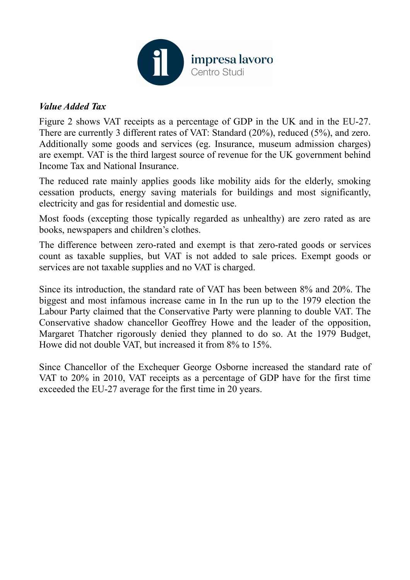

## *Value Added Tax*

Figure 2 shows VAT receipts as a percentage of GDP in the UK and in the EU-27. There are currently 3 different rates of VAT: Standard (20%), reduced (5%), and zero. Additionally some goods and services (eg. Insurance, museum admission charges) are exempt. VAT is the third largest source of revenue for the UK government behind Income Tax and National Insurance.

The reduced rate mainly applies goods like mobility aids for the elderly, smoking cessation products, energy saving materials for buildings and most significantly, electricity and gas for residential and domestic use.

Most foods (excepting those typically regarded as unhealthy) are zero rated as are books, newspapers and children's clothes.

The difference between zero-rated and exempt is that zero-rated goods or services count as taxable supplies, but VAT is not added to sale prices. Exempt goods or services are not taxable supplies and no VAT is charged.

Since its introduction, the standard rate of VAT has been between 8% and 20%. The biggest and most infamous increase came in In the run up to the 1979 election the Labour Party claimed that the Conservative Party were planning to double VAT. The Conservative shadow chancellor Geoffrey Howe and the leader of the opposition, Margaret Thatcher rigorously denied they planned to do so. At the 1979 Budget, Howe did not double VAT, but increased it from 8% to 15%.

Since Chancellor of the Exchequer George Osborne increased the standard rate of VAT to 20% in 2010, VAT receipts as a percentage of GDP have for the first time exceeded the EU-27 average for the first time in 20 years.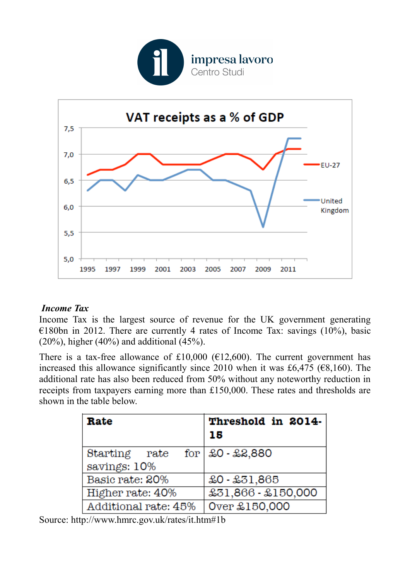



# *Income Tax*

Income Tax is the largest source of revenue for the UK government generating  $\epsilon$ 180bn in 2012. There are currently 4 rates of Income Tax: savings (10%), basic (20%), higher (40%) and additional (45%).

There is a tax-free allowance of £10,000 ( $E12,600$ ). The current government has increased this allowance significantly since 2010 when it was £6,475 ( $\epsilon$ 8,160). The additional rate has also been reduced from 50% without any noteworthy reduction in receipts from taxpayers earning more than £150,000. These rates and thresholds are shown in the table below.

| Rate                 | Threshold in 2014-<br>15 |
|----------------------|--------------------------|
| Starting rate        | for $\&0$ - $\&8,880$    |
| savings: 10%         |                          |
| Basic rate: 20%      | $$0 - $31,865$           |
| Higher rate: 40%     | £31,866 - £150,000       |
| Additional rate: 45% | Over £150,000            |

Source: http://www.hmrc.gov.uk/rates/it.htm#1b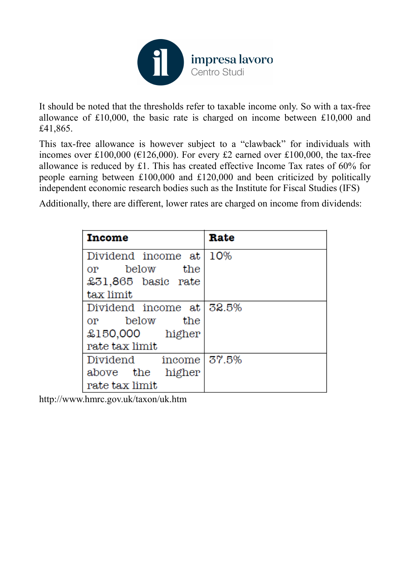

It should be noted that the thresholds refer to taxable income only. So with a tax-free allowance of £10,000, the basic rate is charged on income between £10,000 and £41,865.

This tax-free allowance is however subject to a "clawback" for individuals with incomes over £100,000 ( $E126,000$ ). For every £2 earned over £100,000, the tax-free allowance is reduced by £1. This has created effective Income Tax rates of 60% for people earning between £100,000 and £120,000 and been criticized by politically independent economic research bodies such as the Institute for Fiscal Studies (IFS)

Additionally, there are different, lower rates are charged on income from dividends:

| Income                                                                                                                                                                                                                                                                                                                                                             | Rate   |
|--------------------------------------------------------------------------------------------------------------------------------------------------------------------------------------------------------------------------------------------------------------------------------------------------------------------------------------------------------------------|--------|
| Dividend income at l                                                                                                                                                                                                                                                                                                                                               | $10\%$ |
| below the<br>$or$ and $\overline{or}$ and $\overline{or}$ and $\overline{or}$ and $\overline{or}$ and $\overline{or}$ and $\overline{or}$ and $\overline{or}$ and $\overline{or}$ and $\overline{or}$ and $\overline{or}$ and $\overline{or}$ and $\overline{or}$ and $\overline{or}$ and $\overline{or}$ and $\overline{or}$ and $\overline{or}$ and $\overline{$ |        |
| £31,865 basic rate                                                                                                                                                                                                                                                                                                                                                 |        |
| tax limit                                                                                                                                                                                                                                                                                                                                                          |        |
| Dividend income at $32.5\%$                                                                                                                                                                                                                                                                                                                                        |        |
| or below the                                                                                                                                                                                                                                                                                                                                                       |        |
| £150,000 higher                                                                                                                                                                                                                                                                                                                                                    |        |
| rate tax limit                                                                                                                                                                                                                                                                                                                                                     |        |
| Dividend income 37.5%                                                                                                                                                                                                                                                                                                                                              |        |
| above the<br>higher                                                                                                                                                                                                                                                                                                                                                |        |
| rate tax limit                                                                                                                                                                                                                                                                                                                                                     |        |

http://www.hmrc.gov.uk/taxon/uk.htm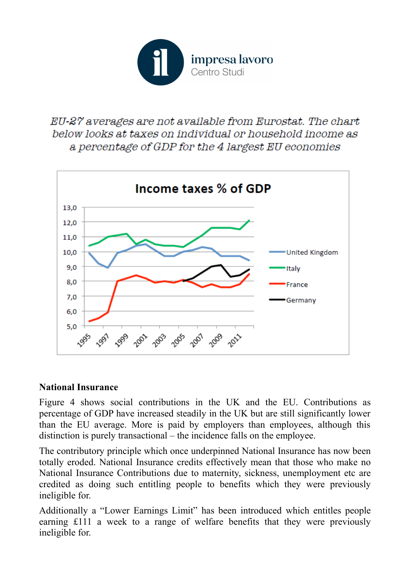

# EU-27 averages are not available from Eurostat. The chart below looks at taxes on individual or household income as a percentage of GDP for the 4 largest EU economies



#### **National Insurance**

Figure 4 shows social contributions in the UK and the EU. Contributions as percentage of GDP have increased steadily in the UK but are still significantly lower than the EU average. More is paid by employers than employees, although this distinction is purely transactional – the incidence falls on the employee.

The contributory principle which once underpinned National Insurance has now been totally eroded. National Insurance credits effectively mean that those who make no National Insurance Contributions due to maternity, sickness, unemployment etc are credited as doing such entitling people to benefits which they were previously ineligible for.

Additionally a "Lower Earnings Limit" has been introduced which entitles people earning £111 a week to a range of welfare benefits that they were previously ineligible for.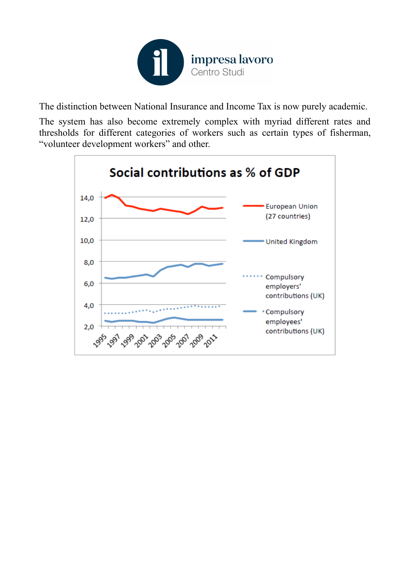

The distinction between National Insurance and Income Tax is now purely academic.

The system has also become extremely complex with myriad different rates and thresholds for different categories of workers such as certain types of fisherman, "volunteer development workers" and other.

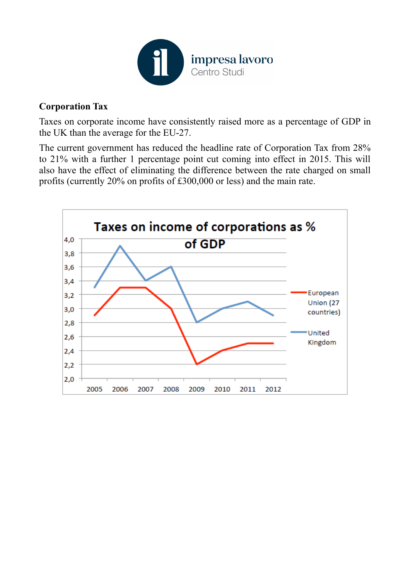

## **Corporation Tax**

Taxes on corporate income have consistently raised more as a percentage of GDP in the UK than the average for the EU-27.

The current government has reduced the headline rate of Corporation Tax from 28% to 21% with a further 1 percentage point cut coming into effect in 2015. This will also have the effect of eliminating the difference between the rate charged on small profits (currently 20% on profits of £300,000 or less) and the main rate.

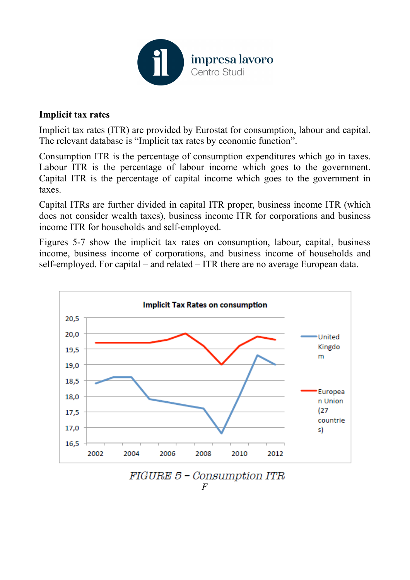

#### **Implicit tax rates**

Implicit tax rates (ITR) are provided by Eurostat for consumption, labour and capital. The relevant database is "Implicit tax rates by economic function".

Consumption ITR is the percentage of consumption expenditures which go in taxes. Labour ITR is the percentage of labour income which goes to the government. Capital ITR is the percentage of capital income which goes to the government in taxes.

Capital ITRs are further divided in capital ITR proper, business income ITR (which does not consider wealth taxes), business income ITR for corporations and business income ITR for households and self-employed.

Figures 5-7 show the implicit tax rates on consumption, labour, capital, business income, business income of corporations, and business income of households and self-employed. For capital – and related – ITR there are no average European data.



FIGURE 5 - Consumption ITR *F*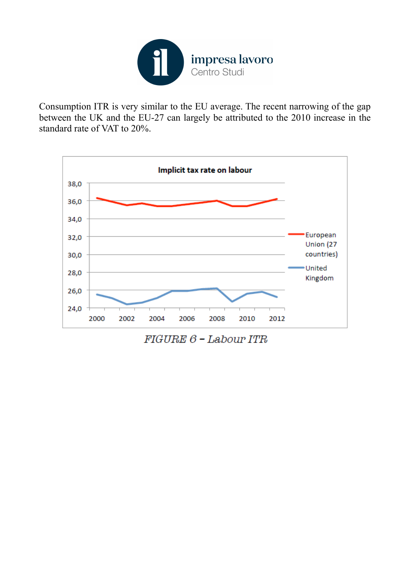

Consumption ITR is very similar to the EU average. The recent narrowing of the gap between the UK and the EU-27 can largely be attributed to the 2010 increase in the standard rate of VAT to 20%.



 $FIGURE 6$  - Labour ITR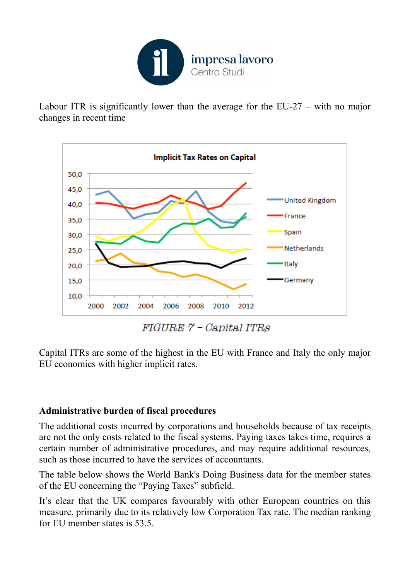

Labour ITR is significantly lower than the average for the EU-27 – with no major changes in recent time



 $FIGURE 7 - Capital ITRs$ 

Capital ITRs are some of the highest in the EU with France and Italy the only major EU economies with higher implicit rates.

# **Administrative burden of fiscal procedures**

The additional costs incurred by corporations and households because of tax receipts are not the only costs related to the fiscal systems. Paying taxes takes time, requires a certain number of administrative procedures, and may require additional resources, such as those incurred to have the services of accountants.

The table below shows the World Bank's Doing Business data for the member states of the EU concerning the "Paying Taxes" subfield.

It's clear that the UK compares favourably with other European countries on this measure, primarily due to its relatively low Corporation Tax rate. The median ranking for EU member states is 53.5.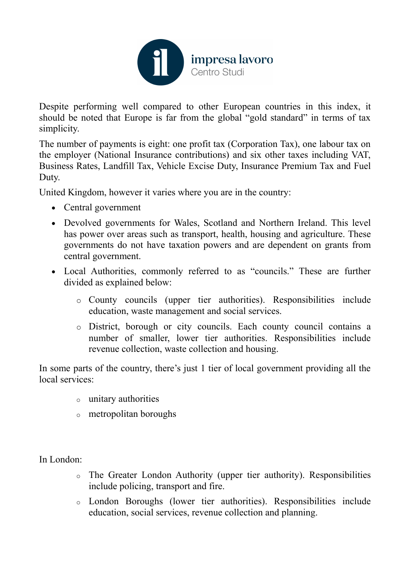

Despite performing well compared to other European countries in this index, it should be noted that Europe is far from the global "gold standard" in terms of tax simplicity.

The number of payments is eight: one profit tax (Corporation Tax), one labour tax on the employer (National Insurance contributions) and six other taxes including VAT, Business Rates, Landfill Tax, Vehicle Excise Duty, Insurance Premium Tax and Fuel Duty.

United Kingdom, however it varies where you are in the country:

- Central government
- Devolved governments for Wales, Scotland and Northern Ireland. This level has power over areas such as transport, health, housing and agriculture. These governments do not have taxation powers and are dependent on grants from central government.
- Local Authorities, commonly referred to as "councils." These are further divided as explained below:
	- o County councils (upper tier authorities). Responsibilities include education, waste management and social services.
	- o District, borough or city councils. Each county council contains a number of smaller, lower tier authorities. Responsibilities include revenue collection, waste collection and housing.

In some parts of the country, there's just 1 tier of local government providing all the local services:

- o unitary authorities
- o metropolitan boroughs

In London:

- o The Greater London Authority (upper tier authority). Responsibilities include policing, transport and fire.
- o London Boroughs (lower tier authorities). Responsibilities include education, social services, revenue collection and planning.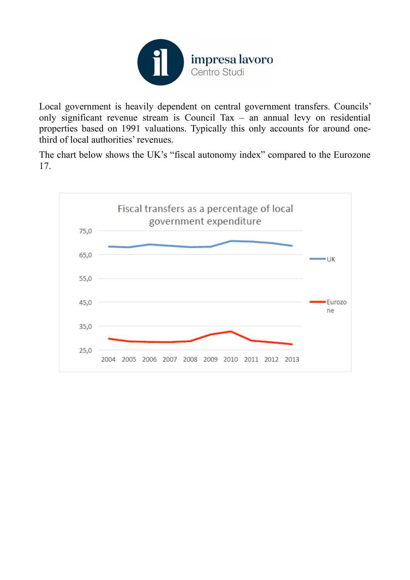

Local government is heavily dependent on central government transfers. Councils' only significant revenue stream is Council Tax – an annual levy on residential properties based on 1991 valuations. Typically this only accounts for around onethird of local authorities' revenues.

The chart below shows the UK's "fiscal autonomy index" compared to the Eurozone 17.